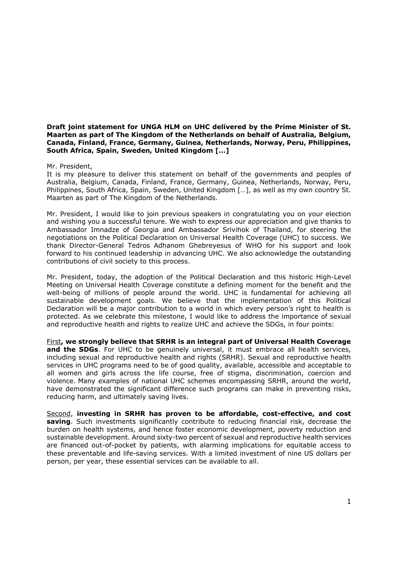**Draft joint statement for UNGA HLM on UHC delivered by the Prime Minister of St. Maarten as part of The Kingdom of the Netherlands on behalf of Australia, Belgium, Canada, Finland, France, Germany, Guinea, Netherlands, Norway, Peru, Philippines, South Africa, Spain, Sweden, United Kingdom […]** 

## Mr. President,

It is my pleasure to deliver this statement on behalf of the governments and peoples of Australia, Belgium, Canada, Finland, France, Germany, Guinea, Netherlands, Norway, Peru, Philippines, South Africa, Spain, Sweden, United Kingdom […], as well as my own country St. Maarten as part of The Kingdom of the Netherlands.

Mr. President, I would like to join previous speakers in congratulating you on your election and wishing you a successful tenure. We wish to express our appreciation and give thanks to Ambassador Imnadze of Georgia and Ambassador Srivihok of Thailand, for steering the negotiations on the Political Declaration on Universal Health Coverage (UHC) to success. We thank Director-General Tedros Adhanom Ghebreyesus of WHO for his support and look forward to his continued leadership in advancing UHC. We also acknowledge the outstanding contributions of civil society to this process.

Mr. President, today, the adoption of the Political Declaration and this historic High-Level Meeting on Universal Health Coverage constitute a defining moment for the benefit and the well-being of millions of people around the world. UHC is fundamental for achieving all sustainable development goals. We believe that the implementation of this Political Declaration will be a major contribution to a world in which every person's right to health is protected. As we celebrate this milestone, I would like to address the importance of sexual and reproductive health and rights to realize UHC and achieve the SDGs, in four points:

First**, we strongly believe that SRHR is an integral part of Universal Health Coverage**  and the SDGs. For UHC to be genuinely universal, it must embrace all health services, including sexual and reproductive health and rights (SRHR). Sexual and reproductive health services in UHC programs need to be of good quality, available, accessible and acceptable to all women and girls across the life course, free of stigma, discrimination, coercion and violence. Many examples of national UHC schemes encompassing SRHR, around the world, have demonstrated the significant difference such programs can make in preventing risks, reducing harm, and ultimately saving lives.

Second, **investing in SRHR has proven to be affordable, cost-effective, and cost saving**. Such investments significantly contribute to reducing financial risk, decrease the burden on health systems, and hence foster economic development, poverty reduction and sustainable development. Around sixty-two percent of sexual and reproductive health services are financed out-of-pocket by patients, with alarming implications for equitable access to these preventable and life-saving services. With a limited investment of nine US dollars per person, per year, these essential services can be available to all.